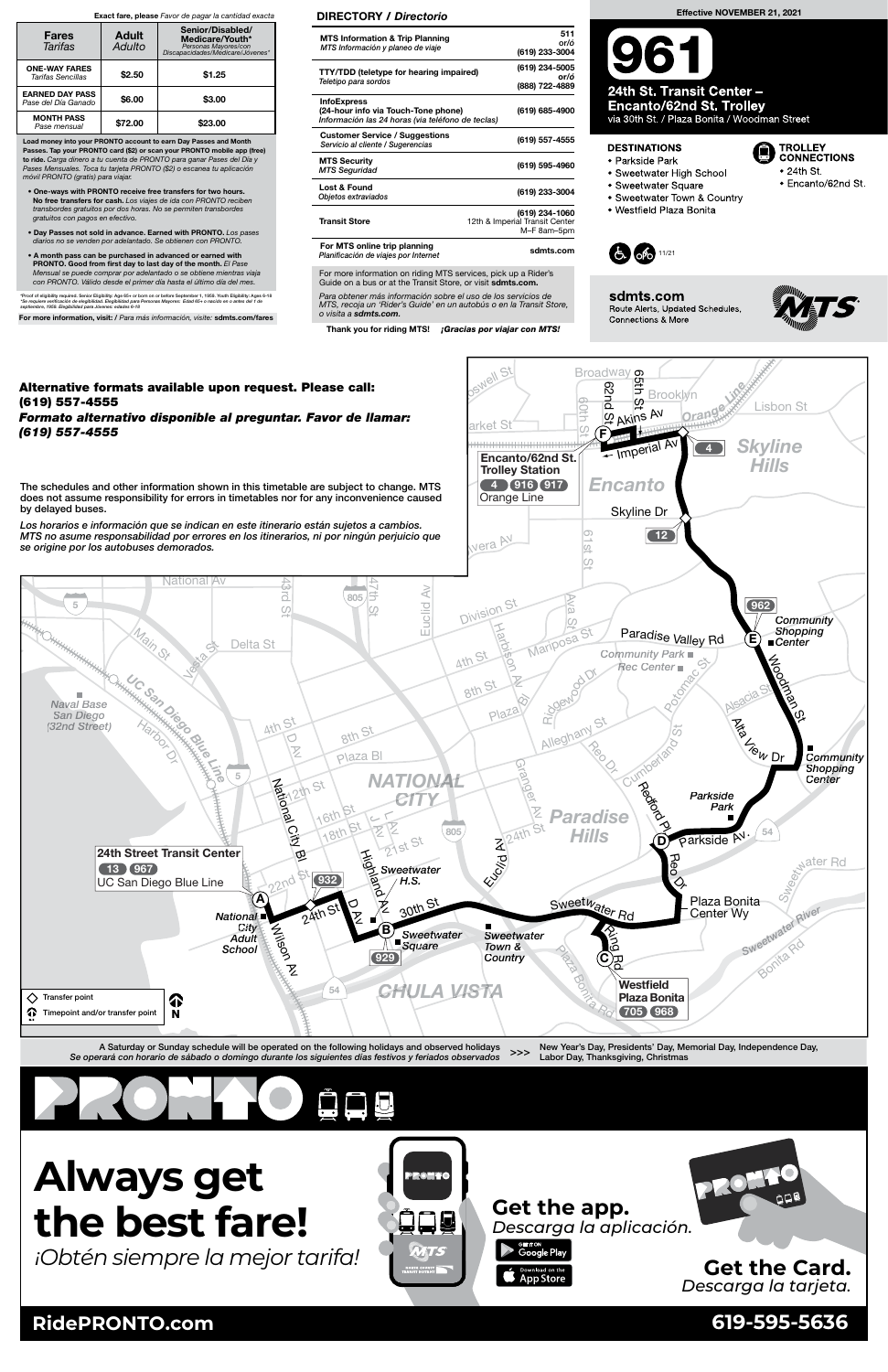Load money into your PRONTO account to earn Day Passes and Month Passes. Tap your PRONTO card (\$2) or scan your PRONTO mobile app (free)<br>to ride. Carga dinero a tu cuenta de PRONTO para ganar Pases del Día y Pases Mensuales. Toca tu tarjeta PRONTO (\$2) o escanea tu aplicación móvil PRONTO (gratis) para viajar.

- One-ways with PRONTO receive free transfers for two hours. **No free transfers for cash.** Los viajes de ida con PRONTO reciben<br>transbordes gratuitos por dos horas. No se permiten transbordes gratuitos con pagos en efectivo.
- Day Passes not sold in advance. Earned with PRONTO. Los pases os no se venden por adelantado. Se obtienen con PRONTO.
- A month pass can be purchased in advanced or earned with **PRONTO. Good from first day to last day of the month.** El Pase<br>Mensual se puede comprar por adelantado o se obtiene mientras viaja con PRONTO. Válido desde el primer día hasta el último día del mes.

\*Proof of eligibility required. Senior Eligibility: Age 65+ or born on or before September 1, 1959. Youth Eligibility: Ages 6-18<br>\*Se requiere verificación de elegibilidad. Elegibilidad para Personas Mayores: Edad 65+ o nac

For more information, visit: / Para más información, visite: sdmts.com/fares

#### Exact fare, please Favor de pagar la cantidad exacta

New Year's Day, Presidents' Day, Memorial Day, Independence Day, >>> Labor Day, Thanksgiving, Christmas



| <b>Fares</b><br>Tarifas                       | <b>Adult</b><br>Adulto | Senior/Disabled/<br>Medicare/Youth*<br>Personas Mayores/con<br>Discapacidades/Medicare/Jóvenes* |
|-----------------------------------------------|------------------------|-------------------------------------------------------------------------------------------------|
| <b>ONE-WAY FARES</b><br>Tarifas Sencillas     | \$2.50                 | \$1.25                                                                                          |
| <b>EARNED DAY PASS</b><br>Pase del Día Ganado | \$6.00                 | \$3.00                                                                                          |
| <b>MONTH PASS</b><br>Pase mensual             | \$72.00                | \$23.00                                                                                         |

For more information on riding MTS services, pick up a Rider's Guide on a bus or at the Transit Store, or visit sdmts.com. Para obtener más información sobre el uso de los servicios de MTS, recoja un 'Rider's Guide' en un autobús o en la Transit Store,

o visita a sdmts.com.

Thank you for riding MTS! ¡Gracias por viajar con MTS!

arket St

### DIRECTORY / Directorio

6 0th  $\mathfrak{D}$ 



**Brooklyn** 

Orange

6 5th ၯႍ

Akins Av

| <b>MTS Information &amp; Trip Planning</b><br>MTS Información y planeo de viaje                                | 511<br>or/ó<br>(619) 233-3004                                   |
|----------------------------------------------------------------------------------------------------------------|-----------------------------------------------------------------|
| <b>TTY/TDD</b> (teletype for hearing impaired)<br>Teletipo para sordos                                         | (619) 234-5005<br>or/ó<br>(888) 722-4889                        |
| <b>InfoExpress</b><br>(24-hour info via Touch-Tone phone)<br>Información las 24 horas (via teléfono de teclas) | (619) 685-4900                                                  |
| <b>Customer Service / Suggestions</b><br>Servicio al cliente / Sugerencias                                     | (619) 557-4555                                                  |
| <b>MTS Security</b><br><b>MTS Seguridad</b>                                                                    | (619) 595-4960                                                  |
| Lost & Found<br>Objetos extraviados                                                                            | (619) 233-3004                                                  |
| <b>Transit Store</b>                                                                                           | (619) 234-1060<br>12th & Imperial Transit Center<br>M-F 8am-5pm |
| For MTS online trip planning<br>Planificación de viajes por Internet                                           | sdmts.com                                                       |

A Saturday or Sunday schedule will be operated on the following holidays and observed holidays Se operará con horario de sábado o domingo durante los siguientes días festivos y feriados observados

## Alternative formats available upon request. Please call: (619) 557-4555

Formato alternativo disponible al preguntar. Favor de llamar: (619) 557-4555

Broadway

Lisbon St

Skyline Dr

6 2 n d

ၯႍ

 $\mathsf{F}$ 

Encanto

**Imperial Av** 

Skyline Hills

4



**B** TROLLEY<br>CONNECTIONS

 $\bullet$  24th St.

• Encanto/62nd St.



Encanto/62nd St. Trolley Station

Orange Line 4 916 917

Well St

The schedules and other information shown in this timetable are subject to change. MTS does not assume responsibility for errors in timetables nor for any inconvenience caused by delayed buses.

Los horarios e información que se indican en este itinerario están sujetos a cambios. MTS no asume responsabilidad por errores en los itinerarios, ni por ningún perjuicio que



**RidePRONTO.com 619-595-5636**

# **Always get the best fare!**

*¡Obtén siempre la mejor tarifa!*

### Effective NOVEMBER 21, 2021

24th St. Transit Center -**Encanto/62nd St. Trolley** 

via 30th St. / Plaza Bonita / Woodman Street

### **DESTINATIONS**

- Parkside Park
- Sweetwater High School
- Sweetwater Square
- Sweetwater Town & Country
- · Westfield Plaza Bonita